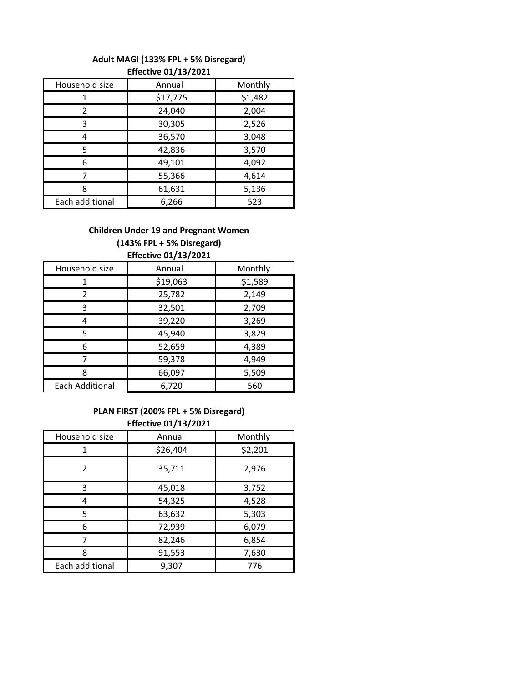## **Adult MAGI (133% FPL + 5% Disregard)**

| Household size  | Annual   | Monthly |  |
|-----------------|----------|---------|--|
|                 | \$17,775 | \$1,482 |  |
| 2               | 24,040   | 2,004   |  |
| 3               | 30,305   | 2,526   |  |
|                 | 36,570   | 3,048   |  |
| 5               | 42,836   | 3,570   |  |
| 6               | 49,101   | 4,092   |  |
|                 | 55,366   | 4,614   |  |
| ጸ               | 61,631   | 5,136   |  |
| Each additional | 6,266    | 523     |  |

## **Effective 01/13/2021**

## **Children Under 19 and Pregnant Women (143% FPL + 5% Disregard) Effective 01/13/2021**

| Annual   | Monthly |  |  |  |
|----------|---------|--|--|--|
| \$19,063 | \$1,589 |  |  |  |
| 25,782   | 2,149   |  |  |  |
| 32,501   | 2,709   |  |  |  |
| 39,220   | 3,269   |  |  |  |
| 45,940   | 3,829   |  |  |  |
| 52,659   | 4,389   |  |  |  |
| 59,378   | 4,949   |  |  |  |
| 66,097   | 5,509   |  |  |  |
| 6,720    | 560     |  |  |  |
|          |         |  |  |  |

## **PLAN FIRST (200% FPL + 5% Disregard) Effective 01/13/2021**

| Household size  | Annual   | Monthly |  |  |
|-----------------|----------|---------|--|--|
| 1               | \$26,404 | \$2,201 |  |  |
| 2               | 35,711   | 2,976   |  |  |
| 3               | 45,018   | 3,752   |  |  |
| 4               | 54,325   | 4,528   |  |  |
| 5               | 63,632   | 5,303   |  |  |
| 6               | 72,939   | 6,079   |  |  |
|                 | 82,246   | 6,854   |  |  |
| 8               | 91,553   | 7,630   |  |  |
| Each additional | 9,307    | 776     |  |  |